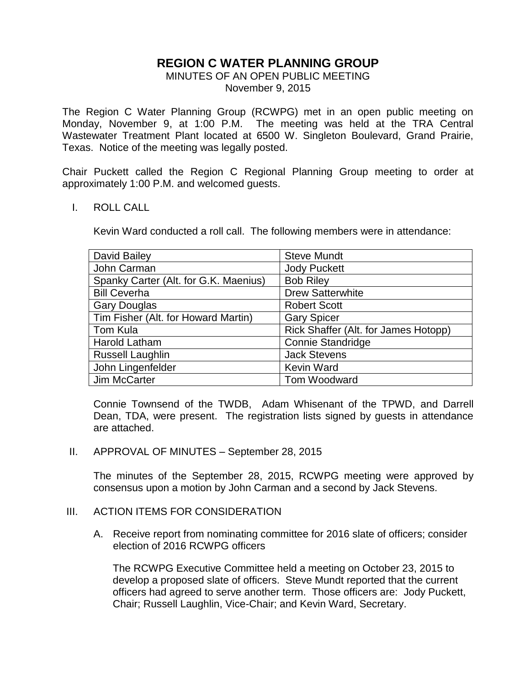# **REGION C WATER PLANNING GROUP**

## MINUTES OF AN OPEN PUBLIC MEETING November 9, 2015

The Region C Water Planning Group (RCWPG) met in an open public meeting on Monday, November 9, at 1:00 P.M. The meeting was held at the TRA Central Wastewater Treatment Plant located at 6500 W. Singleton Boulevard, Grand Prairie, Texas. Notice of the meeting was legally posted.

Chair Puckett called the Region C Regional Planning Group meeting to order at approximately 1:00 P.M. and welcomed guests.

## I. ROLL CALL

Kevin Ward conducted a roll call. The following members were in attendance:

| David Bailey                          | <b>Steve Mundt</b>                   |
|---------------------------------------|--------------------------------------|
| John Carman                           | <b>Jody Puckett</b>                  |
| Spanky Carter (Alt. for G.K. Maenius) | <b>Bob Riley</b>                     |
| <b>Bill Ceverha</b>                   | <b>Drew Satterwhite</b>              |
| <b>Gary Douglas</b>                   | <b>Robert Scott</b>                  |
| Tim Fisher (Alt. for Howard Martin)   | <b>Gary Spicer</b>                   |
| Tom Kula                              | Rick Shaffer (Alt. for James Hotopp) |
| Harold Latham                         | <b>Connie Standridge</b>             |
| <b>Russell Laughlin</b>               | <b>Jack Stevens</b>                  |
| John Lingenfelder                     | <b>Kevin Ward</b>                    |
| Jim McCarter                          | Tom Woodward                         |

Connie Townsend of the TWDB, Adam Whisenant of the TPWD, and Darrell Dean, TDA, were present. The registration lists signed by guests in attendance are attached.

II. APPROVAL OF MINUTES – September 28, 2015

The minutes of the September 28, 2015, RCWPG meeting were approved by consensus upon a motion by John Carman and a second by Jack Stevens.

## III. ACTION ITEMS FOR CONSIDERATION

A. Receive report from nominating committee for 2016 slate of officers; consider election of 2016 RCWPG officers

The RCWPG Executive Committee held a meeting on October 23, 2015 to develop a proposed slate of officers. Steve Mundt reported that the current officers had agreed to serve another term. Those officers are: Jody Puckett, Chair; Russell Laughlin, Vice-Chair; and Kevin Ward, Secretary.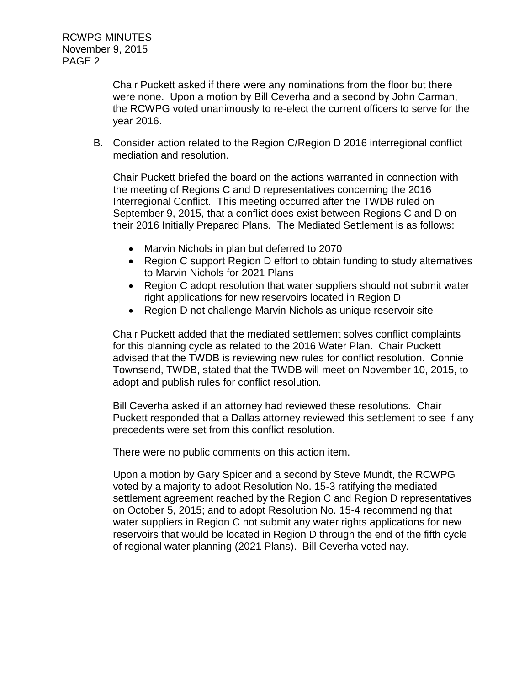RCWPG MINUTES November 9, 2015 PAGE 2

> Chair Puckett asked if there were any nominations from the floor but there were none. Upon a motion by Bill Ceverha and a second by John Carman, the RCWPG voted unanimously to re-elect the current officers to serve for the year 2016.

B. Consider action related to the Region C/Region D 2016 interregional conflict mediation and resolution.

Chair Puckett briefed the board on the actions warranted in connection with the meeting of Regions C and D representatives concerning the 2016 Interregional Conflict. This meeting occurred after the TWDB ruled on September 9, 2015, that a conflict does exist between Regions C and D on their 2016 Initially Prepared Plans. The Mediated Settlement is as follows:

- Marvin Nichols in plan but deferred to 2070
- Region C support Region D effort to obtain funding to study alternatives to Marvin Nichols for 2021 Plans
- Region C adopt resolution that water suppliers should not submit water right applications for new reservoirs located in Region D
- Region D not challenge Marvin Nichols as unique reservoir site

Chair Puckett added that the mediated settlement solves conflict complaints for this planning cycle as related to the 2016 Water Plan. Chair Puckett advised that the TWDB is reviewing new rules for conflict resolution. Connie Townsend, TWDB, stated that the TWDB will meet on November 10, 2015, to adopt and publish rules for conflict resolution.

Bill Ceverha asked if an attorney had reviewed these resolutions. Chair Puckett responded that a Dallas attorney reviewed this settlement to see if any precedents were set from this conflict resolution.

There were no public comments on this action item.

Upon a motion by Gary Spicer and a second by Steve Mundt, the RCWPG voted by a majority to adopt Resolution No. 15-3 ratifying the mediated settlement agreement reached by the Region C and Region D representatives on October 5, 2015; and to adopt Resolution No. 15-4 recommending that water suppliers in Region C not submit any water rights applications for new reservoirs that would be located in Region D through the end of the fifth cycle of regional water planning (2021 Plans). Bill Ceverha voted nay.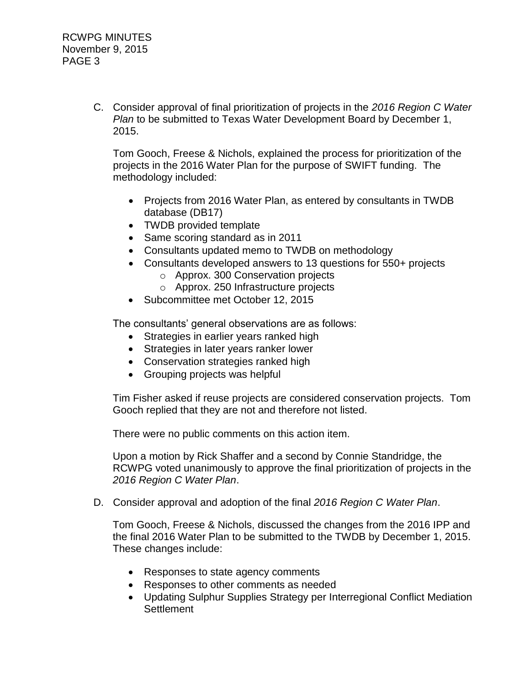C. Consider approval of final prioritization of projects in the *2016 Region C Water Plan* to be submitted to Texas Water Development Board by December 1, 2015.

Tom Gooch, Freese & Nichols, explained the process for prioritization of the projects in the 2016 Water Plan for the purpose of SWIFT funding. The methodology included:

- Projects from 2016 Water Plan, as entered by consultants in TWDB database (DB17)
- TWDB provided template
- Same scoring standard as in 2011
- Consultants updated memo to TWDB on methodology
- Consultants developed answers to 13 questions for 550+ projects
	- o Approx. 300 Conservation projects
	- o Approx. 250 Infrastructure projects
- Subcommittee met October 12, 2015

The consultants' general observations are as follows:

- Strategies in earlier years ranked high
- Strategies in later years ranker lower
- Conservation strategies ranked high
- Grouping projects was helpful

Tim Fisher asked if reuse projects are considered conservation projects. Tom Gooch replied that they are not and therefore not listed.

There were no public comments on this action item.

Upon a motion by Rick Shaffer and a second by Connie Standridge, the RCWPG voted unanimously to approve the final prioritization of projects in the *2016 Region C Water Plan*.

D. Consider approval and adoption of the final *2016 Region C Water Plan*.

Tom Gooch, Freese & Nichols, discussed the changes from the 2016 IPP and the final 2016 Water Plan to be submitted to the TWDB by December 1, 2015. These changes include:

- Responses to state agency comments
- Responses to other comments as needed
- Updating Sulphur Supplies Strategy per Interregional Conflict Mediation **Settlement**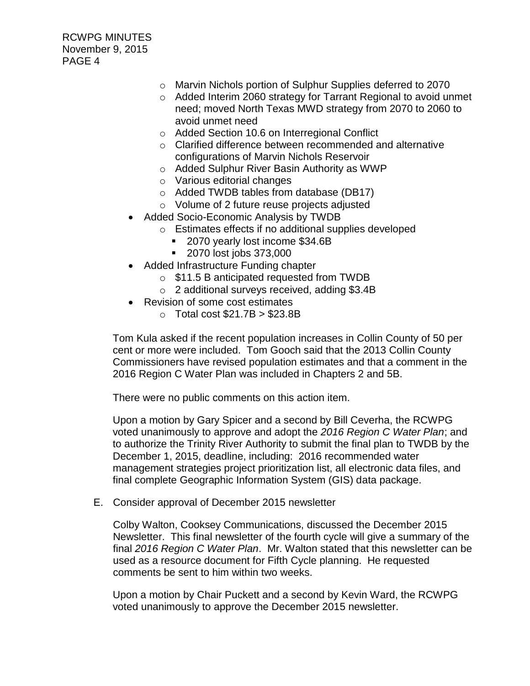RCWPG MINUTES November 9, 2015 PAGE 4

- o Marvin Nichols portion of Sulphur Supplies deferred to 2070
- o Added Interim 2060 strategy for Tarrant Regional to avoid unmet need; moved North Texas MWD strategy from 2070 to 2060 to avoid unmet need
- o Added Section 10.6 on Interregional Conflict
- o Clarified difference between recommended and alternative configurations of Marvin Nichols Reservoir
- o Added Sulphur River Basin Authority as WWP
- o Various editorial changes
- o Added TWDB tables from database (DB17)
- o Volume of 2 future reuse projects adjusted
- Added Socio-Economic Analysis by TWDB
	- o Estimates effects if no additional supplies developed
		- 2070 yearly lost income \$34.6B
		- **2070 lost jobs 373,000**
- Added Infrastructure Funding chapter
	- o \$11.5 B anticipated requested from TWDB
	- o 2 additional surveys received, adding \$3.4B
- Revision of some cost estimates
	- $\circ$  Total cost \$21.7B  $>$  \$23.8B

Tom Kula asked if the recent population increases in Collin County of 50 per cent or more were included. Tom Gooch said that the 2013 Collin County Commissioners have revised population estimates and that a comment in the 2016 Region C Water Plan was included in Chapters 2 and 5B.

There were no public comments on this action item.

Upon a motion by Gary Spicer and a second by Bill Ceverha, the RCWPG voted unanimously to approve and adopt the *2016 Region C Water Plan*; and to authorize the Trinity River Authority to submit the final plan to TWDB by the December 1, 2015, deadline, including: 2016 recommended water management strategies project prioritization list, all electronic data files, and final complete Geographic Information System (GIS) data package.

E. Consider approval of December 2015 newsletter

Colby Walton, Cooksey Communications, discussed the December 2015 Newsletter. This final newsletter of the fourth cycle will give a summary of the final *2016 Region C Water Plan*. Mr. Walton stated that this newsletter can be used as a resource document for Fifth Cycle planning. He requested comments be sent to him within two weeks.

Upon a motion by Chair Puckett and a second by Kevin Ward, the RCWPG voted unanimously to approve the December 2015 newsletter.